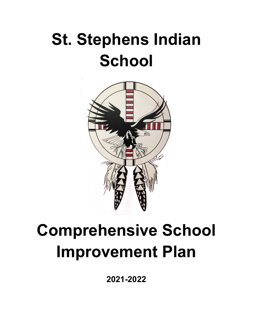# **St. Stephens Indian School**



## **Comprehensive School Improvement Plan**

**2021-2022**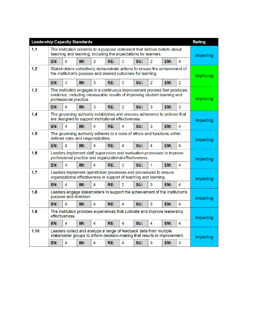|      | <b>Leadership Capacity Standards</b>                                                                                                                                            |                |     |                |     |                |     |                |           |                        | <b>Rating</b> |
|------|---------------------------------------------------------------------------------------------------------------------------------------------------------------------------------|----------------|-----|----------------|-----|----------------|-----|----------------|-----------|------------------------|---------------|
| 1.1  | The institution commits to a purpose statement that defines beliefs about<br>teaching and learning, including the expectations for learners.                                    |                |     |                |     |                |     |                | Impacting |                        |               |
|      | EN:                                                                                                                                                                             | 4              | IM: | 3              | RE: | 3              | SU: | $\overline{2}$ | EM:       | 4                      |               |
| 1.2  | Stakeholders collectively demonstrate actions to ensure the achievement of<br>the institution's purpose and desired outcomes for learning.                                      |                |     |                |     |                |     |                |           | <b>Improving</b>       |               |
|      | EN:                                                                                                                                                                             | 3              | IM: | 3              | RE: | 3              | SU: | 2              | EM:       | $\overline{2}$         |               |
| 1.3  | The institution engages in a continuous improvement process that produces<br>evidence, including measurable results of improving student learning and<br>professional practice. |                |     |                |     |                |     |                |           | <b>Improving</b>       |               |
|      | EN:                                                                                                                                                                             | 4              | IM: | 3              | RE: | $\overline{2}$ | SU: | 3              | EM:       | 3                      |               |
| 1.4  | The governing authority establishes and ensures adherence to policies that<br>are designed to support institutional effectiveness.                                              |                |     |                |     |                |     |                |           | Impacting              |               |
|      | EN:                                                                                                                                                                             | 4              | IM: | 4              | RE: | 4              | SU: | 3              | EM:       | 4                      |               |
| 1.5  | The governing authority adheres to a code of ethics and functions within<br>defined roles and responsibilities.                                                                 |                |     |                |     |                |     |                | Impacting |                        |               |
|      | EN:                                                                                                                                                                             | $\overline{4}$ | IM: | 4              | RE: | 4              | SU: | 4              | EM:       | 4                      |               |
| 1.6  | Leaders implement staff supervision and evaluation processes to improve<br>professional practice and organizational effectiveness.                                              |                |     |                |     |                |     |                | Impacting |                        |               |
|      | EN:                                                                                                                                                                             | 4              | IM: | 4              | RE: | 3              | SU: | $\mathbf{1}$   | EM:       | 4                      |               |
| 1.7  | Leaders implement operational processes and procedures to ensure<br>organizational effectiveness in support of teaching and learning.                                           |                |     |                |     |                |     |                | Impacting |                        |               |
|      | EN:                                                                                                                                                                             | $\overline{4}$ | IM: | 4              | RE: | $\overline{2}$ | SU: | 3              | EM:       | $\boldsymbol{\Lambda}$ |               |
| 1.8  | Leaders engage stakeholders to support the achievement of the institution's<br>purpose and direction.                                                                           |                |     |                |     |                |     |                | Impacting |                        |               |
|      | EN:                                                                                                                                                                             | 4              | IM: | $\overline{4}$ | RE: | 4              | SU: | 3              | EM:       | 4                      |               |
| 1.9  | The institution provides experiences that cultivate and improve leadership<br>effectiveness.                                                                                    |                |     |                |     |                |     |                | Impacting |                        |               |
|      | EN:                                                                                                                                                                             | 4              | IM: | 4              | RE: | 4              | SU: | 4              | EM:       | 4                      |               |
| 1.10 | Leaders collect and analyze a range of feedback data from multiple<br>stakeholder groups to inform decision-making that results in improvement.                                 |                |     |                |     |                |     |                | Impacting |                        |               |
|      | EN:                                                                                                                                                                             | 4              | IM: | 4              | RE: | 4              | SU: | 3              | EM:       | 3                      |               |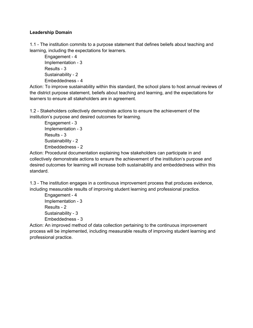#### **Leadership Domain**

1.1 - The institution commits to a purpose statement that defines beliefs about teaching and learning, including the expectations for learners.

Engagement - 4 Implementation - 3 Results - 3 Sustainability - 2 Embeddedness - 4

Action: To improve sustainability within this standard, the school plans to host annual reviews of the district purpose statement, beliefs about teaching and learning, and the expectations for learners to ensure all stakeholders are in agreement.

1.2 - Stakeholders collectively demonstrate actions to ensure the achievement of the institution's purpose and desired outcomes for learning.

Engagement - 3 Implementation - 3 Results - 3 Sustainability - 2 Embeddedness - 2

Action: Procedural documentation explaining how stakeholders can participate in and collectively demonstrate actions to ensure the achievement of the institution's purpose and desired outcomes for learning will increase both sustainability and embeddedness within this standard.

1.3 - The institution engages in a continuous improvement process that produces evidence, including measurable results of improving student learning and professional practice.

Engagement - 4 Implementation - 3 Results - 2 Sustainability - 3 Embeddedness - 3

Action: An improved method of data collection pertaining to the continuous improvement process will be implemented, including measurable results of improving student learning and professional practice.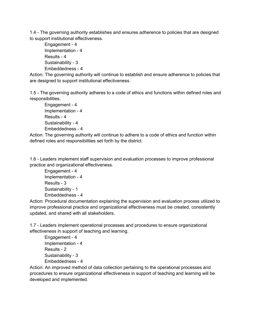1.4 - The governing authority establishes and ensures adherence to policies that are designed to support institutional effectiveness.

Engagement - 4 Implementation - 4 Results - 4 Sustainability - 3 Embeddedness - 4

Action: The governing authority will continue to establish and ensure adherence to policies that are designed to support institutional effectiveness.

1.5 - The governing authority adheres to a code of ethics and functions within defined roles and responsibilities.

Engagement - 4 Implementation - 4 Results - 4 Sustainability - 4 Embeddedness - 4

Action: The governing authority will continue to adhere to a code of ethics and function within defined roles and responsibilities set forth by the district.

1.6 - Leaders implement staff supervision and evaluation processes to improve professional practice and organizational effectiveness.

Engagement - 4 Implementation - 4 Results - 3 Sustainability - 1 Embeddedness - 4

Action: Procedural documentation explaining the supervision and evaluation process utilized to improve professional practice and organizational effectiveness must be created, consistently updated, and shared with all stakeholders.

1.7 - Leaders implement operational processes and procedures to ensure organizational effectiveness in support of teaching and learning.

Engagement - 4 Implementation - 4 Results - 2 Sustainability - 3 Embeddedness - 4

Action: An improved method of data collection pertaining to the operational processes and procedures to ensure organizational effectiveness in support of teaching and learning will be developed and implemented.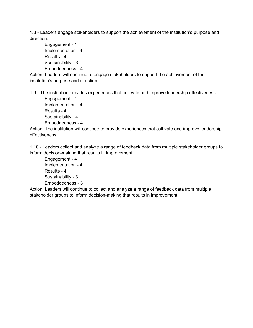1.8 - Leaders engage stakeholders to support the achievement of the institution's purpose and direction.

```
Engagement - 4
Implementation - 4
Results - 4
Sustainability - 3
Embeddedness - 4
```
Action: Leaders will continue to engage stakeholders to support the achievement of the institution's purpose and direction.

1.9 - The institution provides experiences that cultivate and improve leadership effectiveness.

```
Engagement - 4
Implementation - 4
Results - 4
Sustainability - 4
Embeddedness - 4
```
Action: The institution will continue to provide experiences that cultivate and improve leadership effectiveness.

1.10 - Leaders collect and analyze a range of feedback data from multiple stakeholder groups to inform decision-making that results in improvement.

Engagement - 4 Implementation - 4 Results - 4 Sustainability - 3 Embeddedness - 3

Action: Leaders will continue to collect and analyze a range of feedback data from multiple stakeholder groups to inform decision-making that results in improvement.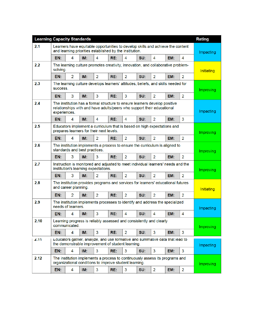| <b>Learning Capacity Standards</b> |                                                                                                                                                                      |                                                                                                                                        |     |                |     |                |     |                |                   |                  | <b>Rating</b>     |
|------------------------------------|----------------------------------------------------------------------------------------------------------------------------------------------------------------------|----------------------------------------------------------------------------------------------------------------------------------------|-----|----------------|-----|----------------|-----|----------------|-------------------|------------------|-------------------|
| 2.1                                | Learners have equitable opportunities to develop skills and achieve the content<br>and learning priorities established by the institution.                           |                                                                                                                                        |     |                |     |                |     |                |                   | <b>Impacting</b> |                   |
|                                    | EN:                                                                                                                                                                  | 4                                                                                                                                      | IM: | 4              | RE: | 4              | SU: | 4              | EM:               | 4                |                   |
| 2.2                                | The learning culture promotes creativity, innovation, and collaborative problem-<br>solving.                                                                         |                                                                                                                                        |     |                |     |                |     |                |                   |                  | <b>Initiating</b> |
|                                    | EN:                                                                                                                                                                  | $\overline{2}$                                                                                                                         | IM: | 2              | RE: | 2              | SU: | 2              | EM:               | 2                |                   |
| 2.3                                | The learning culture develops learners' attitudes, beliefs, and skills needed for<br>success.                                                                        |                                                                                                                                        |     |                |     |                |     |                |                   | <b>Improving</b> |                   |
|                                    | EN:                                                                                                                                                                  | 3                                                                                                                                      | IM: | 3              | RE: | 3              | SU: | $\overline{2}$ | EM:               | $\overline{2}$   |                   |
| 2.4                                | The institution has a formal structure to ensure learners develop positive<br>relationships with and have adults/peers who support their educational<br>experiences. |                                                                                                                                        |     |                |     |                |     |                |                   | <b>Impacting</b> |                   |
|                                    | EN:                                                                                                                                                                  | 4                                                                                                                                      | IM: | 4              | RE: | 4              | SU: | 2              | EM:               | 3                |                   |
| 2.5                                | Educators implement a curriculum that is based on high expectations and<br>prepares learners for their next levels.                                                  |                                                                                                                                        |     |                |     |                |     |                |                   |                  | <b>Improving</b>  |
|                                    | EN:                                                                                                                                                                  | 4                                                                                                                                      | IM: | $\overline{2}$ | RE: | 2              | SU: | 2              | EM:               | $\overline{2}$   |                   |
| 2.6                                | The institution implements a process to ensure the curriculum is aligned to<br>standards and best practices.                                                         |                                                                                                                                        |     |                |     |                |     |                |                   | <b>Improving</b> |                   |
|                                    | EN:                                                                                                                                                                  | 3                                                                                                                                      | IM: | 3              | RE: | 2              | SU: | $\overline{2}$ | EM:               | $\overline{2}$   |                   |
| 2.7                                | Instruction is monitored and adjusted to meet individual learners' needs and the<br>institution's learning expectations.                                             |                                                                                                                                        |     |                |     |                |     |                | <b>Improving</b>  |                  |                   |
|                                    | EN:                                                                                                                                                                  | 3                                                                                                                                      | IM: | $\overline{2}$ | RE: | $\overline{2}$ | SU: | $\overline{2}$ | EM:               | $\overline{2}$   |                   |
| 2.8                                | The institution provides programs and services for learners' educational futures<br>and career planning.                                                             |                                                                                                                                        |     |                |     |                |     |                | <b>Initiating</b> |                  |                   |
|                                    | EN:                                                                                                                                                                  | $\overline{2}$                                                                                                                         | IM: | $\overline{2}$ | RE: | $\overline{2}$ | SU: | $\overline{2}$ | EM:               | $\overline{2}$   |                   |
| 2.9                                | The institution implements processes to identify and address the specialized<br>needs of learners.                                                                   |                                                                                                                                        |     |                |     |                |     |                | Impacting         |                  |                   |
|                                    | EN:                                                                                                                                                                  | 4                                                                                                                                      | IM: | 3              | RE: | 4              | SU: | 4              | EM:               | 4                |                   |
| 2.10                               | Learning progress is reliably assessed and consistently and clearly<br>communicated.                                                                                 |                                                                                                                                        |     |                |     |                |     |                |                   | Improving        |                   |
|                                    | EN:                                                                                                                                                                  | 4                                                                                                                                      | IM: | $\mathbf{3}$   | RE: | $\overline{2}$ | SU: | 3              | EM:               | 3                |                   |
| 2.11                               | Educators gather, analyze, and use formative and summative data that lead to<br>the demonstrable improvement of student learning.                                    |                                                                                                                                        |     |                |     |                |     |                |                   | Impacting        |                   |
|                                    | EN:                                                                                                                                                                  | $\overline{4}$                                                                                                                         | IM: | 3              | RE: | 3              | SU: | 3              | EM:               | 3                |                   |
| 2.12                               |                                                                                                                                                                      | The institution implements a process to continuously assess its programs and<br>organizational conditions to improve student learning. |     |                |     |                |     |                |                   |                  | <b>Improving</b>  |
|                                    | EN:                                                                                                                                                                  | 4                                                                                                                                      | IM: | 3              | RE: | 3              | SU: | $\overline{2}$ | EM:               | $\overline{2}$   |                   |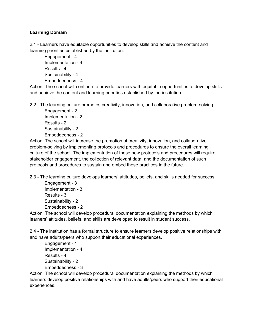#### **Learning Domain**

2.1 - Learners have equitable opportunities to develop skills and achieve the content and learning priorities established by the institution.

Engagement - 4 Implementation - 4 Results - 4 Sustainability - 4 Embeddedness - 4

Action: The school will continue to provide learners with equitable opportunities to develop skills and achieve the content and learning priorities established by the institution.

2.2 - The learning culture promotes creativity, innovation, and collaborative problem-solving.

Engagement - 2 Implementation - 2 Results - 2 Sustainability - 2 Embeddedness - 2

Action: The school will increase the promotion of creativity, innovation, and collaborative problem-solving by implementing protocols and procedures to ensure the overall learning culture of the school. The implementation of these new protocols and procedures will require stakeholder engagement, the collection of relevant data, and the documentation of such protocols and procedures to sustain and embed these practices in the future.

2.3 - The learning culture develops learners' attitudes, beliefs, and skills needed for success.

Engagement - 3 Implementation - 3 Results - 3 Sustainability - 2 Embeddedness - 2

Action: The school will develop procedural documentation explaining the methods by which learners' attitudes, beliefs, and skills are developed to result in student success.

2.4 - The institution has a formal structure to ensure learners develop positive relationships with and have adults/peers who support their educational experiences.

```
Engagement - 4
Implementation - 4
Results - 4
Sustainability - 2
Embeddedness - 3
```
Action: The school will develop procedural documentation explaining the methods by which learners develop positive relationships with and have adults/peers who support their educational experiences.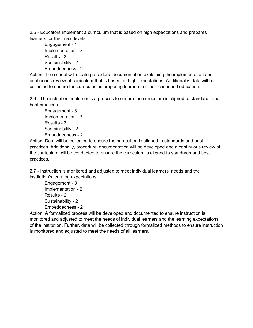2.5 - Educators implement a curriculum that is based on high expectations and prepares learners for their next levels.

Engagement - 4 Implementation - 2 Results - 2 Sustainability - 2 Embeddedness - 2

Action: The school will create procedural documentation explaining the implementation and continuous review of curriculum that is based on high expectations. Additionally, data will be collected to ensure the curriculum is preparing learners for their continued education.

2.6 - The institution implements a process to ensure the curriculum is aligned to standards and best practices.

Engagement - 3 Implementation - 3 Results - 2 Sustainability - 2 Embeddedness - 2

Action: Data will be collected to ensure the curriculum is aligned to standards and best practices. Additionally, procedural documentation will be developed and a continuous review of the curriculum will be conducted to ensure the curriculum is aligned to standards and best practices.

2.7 - Instruction is monitored and adjusted to meet individual learners' needs and the institution's learning expectations.

Engagement - 3 Implementation - 2 Results - 2 Sustainability - 2 Embeddedness - 2

Action: A formalized process will be developed and documented to ensure instruction is monitored and adjusted to meet the needs of individual learners and the learning expectations of the institution. Further, data will be collected through formalized methods to ensure instruction is monitored and adjusted to meet the needs of all learners.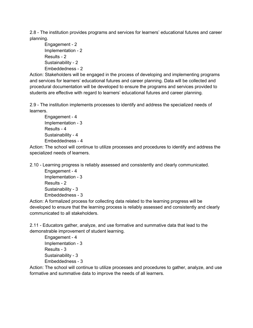2.8 - The institution provides programs and services for learners' educational futures and career planning.

Engagement - 2 Implementation - 2 Results - 2 Sustainability - 2 Embeddedness - 2

Action: Stakeholders will be engaged in the process of developing and implementing programs and services for learners' educational futures and career planning. Data will be collected and procedural documentation will be developed to ensure the programs and services provided to students are effective with regard to learners' educational futures and career planning.

2.9 - The institution implements processes to identify and address the specialized needs of learners.

Engagement - 4 Implementation - 3 Results - 4 Sustainability - 4 Embeddedness - 4

Action: The school will continue to utilize processes and procedures to identify and address the specialized needs of learners.

2.10 - Learning progress is reliably assessed and consistently and clearly communicated.

Engagement - 4 Implementation - 3 Results - 2 Sustainability - 3 Embeddedness - 3

Action: A formalized process for collecting data related to the learning progress will be developed to ensure that the learning process is reliably assessed and consistently and clearly communicated to all stakeholders.

2.11 - Educators gather, analyze, and use formative and summative data that lead to the demonstrable improvement of student learning.

Engagement - 4 Implementation - 3 Results - 3 Sustainability - 3 Embeddedness - 3

Action: The school will continue to utilize processes and procedures to gather, analyze, and use formative and summative data to improve the needs of all learners.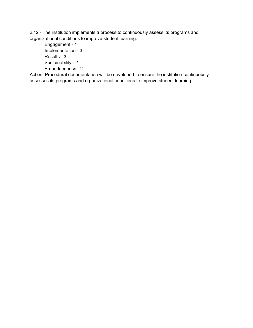2.12 - The institution implements a process to continuously assess its programs and organizational conditions to improve student learning.

Engagement - 4 Implementation - 3 Results - 3 Sustainability - 2 Embeddedness - 2

Action: Procedural documentation will be developed to ensure the institution continuously assesses its programs and organizational conditions to improve student learning.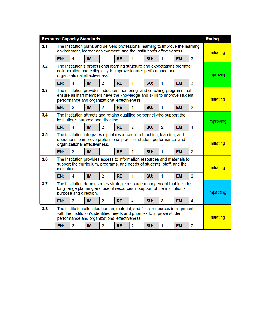|     | <b>Resource Capacity Standards</b>                                                                                                                                                                         |                         |     |                |     |                |     |                |     |                  | <b>Rating</b>    |
|-----|------------------------------------------------------------------------------------------------------------------------------------------------------------------------------------------------------------|-------------------------|-----|----------------|-----|----------------|-----|----------------|-----|------------------|------------------|
| 3.1 | The institution plans and delivers professional learning to improve the learning<br>environment, learner achievement, and the institution's effectiveness.                                                 |                         |     |                |     |                |     |                |     | Initiating       |                  |
|     | EN:                                                                                                                                                                                                        | 4                       | IM: | 1              | RE: | 1              | SU: | 1              | EM: | 3                |                  |
| 3.2 | The institution's professional learning structure and expectations promote<br>collaboration and collegiality to improve learner performance and<br>organizational effectiveness.                           |                         |     |                |     |                |     |                |     |                  | Improving        |
|     | EN:                                                                                                                                                                                                        | $\overline{\mathbf{4}}$ | IM: | $\overline{2}$ | RE: | 1              | SU: | 1              | EM: | 3                |                  |
| 3.3 | The institution provides induction, mentoring, and coaching programs that<br>ensure all staff members have the knowledge and skills to improve student<br>performance and organizational effectiveness.    |                         |     |                |     |                |     |                |     |                  | Initiating       |
|     | EN:                                                                                                                                                                                                        | 3                       | IM: | $\overline{2}$ | RE: | 1              | SU: | $\mathbf{1}$   | EM: | $\overline{2}$   |                  |
| 3.4 | The institution attracts and retains qualified personnel who support the<br>institution's purpose and direction.                                                                                           |                         |     |                |     |                |     |                |     |                  | <b>Improving</b> |
|     | EN:                                                                                                                                                                                                        | 4                       | IM: | $\overline{2}$ | RE: | $\overline{2}$ | SU: | $\overline{2}$ | EM: | 4                |                  |
| 3.5 | The institution integrates digital resources into teaching, learning, and<br>operations to improve professional practice, student performance, and<br>organizational effectiveness.                        |                         |     |                |     |                |     |                |     |                  | Initiating       |
|     | EN:                                                                                                                                                                                                        | 3                       | IM: | 1              | RE: | 1              | SU: | $\mathbf{1}$   | EM: | $\overline{2}$   |                  |
| 3.6 | The institution provides access to information resources and materials to<br>support the curriculum, programs, and needs of students, staff, and the<br>institution.                                       |                         |     |                |     |                |     |                |     | Initiating       |                  |
|     | EN:                                                                                                                                                                                                        | 4                       | IM: | $\overline{2}$ | RE: | $\mathbf{1}$   | SU: | 1              | EM: | $\overline{2}$   |                  |
| 3.7 | The institution demonstrates strategic resource management that includes<br>long-range planning and use of resources in support of the institution's<br>purpose and direction.                             |                         |     |                |     |                |     |                |     | <b>Impacting</b> |                  |
|     | EN:                                                                                                                                                                                                        | 3                       | IM: | $\overline{2}$ | RE: | 4              | SU: | 3              | EM: | 4                |                  |
| 3.8 | The institution allocates human, material, and fiscal resources in alignment<br>with the institution's identified needs and priorities to improve student<br>performance and organizational effectiveness. |                         |     |                |     |                |     |                |     | Initiating       |                  |
|     | EN:                                                                                                                                                                                                        | 3                       | IM: | $\overline{2}$ | RE: | $\overline{2}$ | SU: | 1              | EM: | $\overline{2}$   |                  |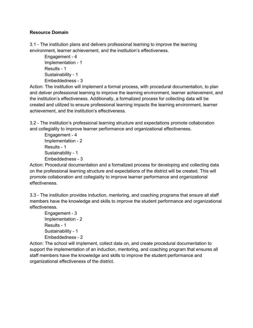#### **Resource Domain**

3.1 - The institution plans and delivers professional learning to improve the learning environment, learner achievement, and the institution's effectiveness.

Engagement - 4 Implementation - 1 Results - 1 Sustainability - 1 Embeddedness - 3

Action: The institution will implement a formal process, with procedural documentation, to plan and deliver professional learning to improve the learning environment, learner achievement, and the institution's effectiveness. Additionally, a formalized process for collecting data will be created and utilized to ensure professional learning impacts the learning environment, learner achievement, and the institution's effectiveness.

3.2 - The institution's professional learning structure and expectations promote collaboration and collegiality to improve learner performance and organizational effectiveness.

Engagement - 4 Implementation - 2 Results - 1 Sustainability - 1 Embeddedness - 3

Action: Procedural documentation and a formalized process for developing and collecting data on the professional learning structure and expectations of the district will be created. This will promote collaboration and collegiality to improve learner performance and organizational effectiveness.

3.3 - The institution provides induction, mentoring, and coaching programs that ensure all staff members have the knowledge and skills to improve the student performance and organizational effectiveness.

Engagement - 3 Implementation - 2 Results - 1 Sustainability - 1 Embeddedness - 2

Action: The school will implement, collect data on, and create procedural documentation to support the implementation of an induction, mentoring, and coaching program that ensures all staff members have the knowledge and skills to improve the student performance and organizational effectiveness of the district.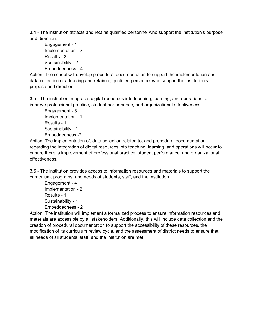3.4 - The institution attracts and retains qualified personnel who support the institution's purpose and direction.

Engagement - 4 Implementation - 2 Results - 2 Sustainability - 2 Embeddedness - 4

Action: The school will develop procedural documentation to support the implementation and data collection of attracting and retaining qualified personnel who support the institution's purpose and direction.

3.5 - The institution integrates digital resources into teaching, learning, and operations to improve professional practice, student performance, and organizational effectiveness.

Engagement - 3 Implementation - 1 Results - 1 Sustainability - 1 Embeddedness -2

Action: The implementation of, data collection related to, and procedural documentation regarding the integration of digital resources into teaching, learning, and operations will occur to ensure there is improvement of professional practice, student performance, and organizational effectiveness.

3.6 - The institution provides access to information resources and materials to support the curriculum, programs, and needs of students, staff, and the institution.

Engagement - 4 Implementation - 2 Results - 1 Sustainability - 1 Embeddedness - 2

Action: The institution will implement a formalized process to ensure information resources and materials are accessible by all stakeholders. Additionally, this will include data collection and the creation of procedural documentation to support the accessibility of these resources, the modification of its curriculum review cycle, and the assessment of district needs to ensure that all needs of all students, staff, and the institution are met.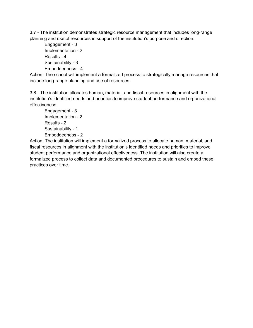3.7 - The institution demonstrates strategic resource management that includes long-range planning and use of resources in support of the institution's purpose and direction.

```
Engagement - 3
Implementation - 2
Results - 4
Sustainability - 3
Embeddedness - 4
```
Action: The school will implement a formalized process to strategically manage resources that include long-range planning and use of resources.

3.8 - The institution allocates human, material, and fiscal resources in alignment with the institution's identified needs and priorities to improve student performance and organizational effectiveness.

Engagement - 3 Implementation - 2 Results - 2 Sustainability - 1 Embeddedness - 2

Action: The institution will implement a formalized process to allocate human, material, and fiscal resources in alignment with the institution's identified needs and priorities to improve student performance and organizational effectiveness. The institution will also create a formalized process to collect data and documented procedures to sustain and embed these practices over time.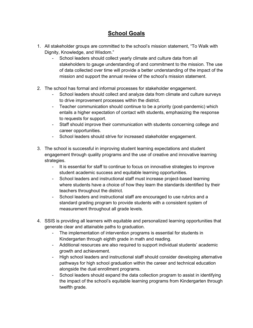### **School Goals**

- 1. All stakeholder groups are committed to the school's mission statement, "To Walk with Dignity, Knowledge, and Wisdom."
	- School leaders should collect yearly climate and culture data from all stakeholders to gauge understanding of and commitment to the mission. The use of data collected over time will provide a better understanding of the impact of the mission and support the annual review of the school's mission statement.
- 2. The school has formal and informal processes for stakeholder engagement.
	- School leaders should collect and analyze data from climate and culture surveys to drive improvement processes within the district.
	- Teacher communication should continue to be a priority (post-pandemic) which entails a higher expectation of contact with students, emphasizing the response to requests for support.
	- Staff should improve their communication with students concerning college and career opportunities.
	- School leaders should strive for increased stakeholder engagement.
- 3. The school is successful in improving student learning expectations and student engagement through quality programs and the use of creative and innovative learning strategies.
	- It is essential for staff to continue to focus on innovative strategies to improve student academic success and equitable learning opportunities.
	- School leaders and instructional staff must increase project-based learning where students have a choice of how they learn the standards identified by their teachers throughout the district.
	- School leaders and instructional staff are encouraged to use rubrics and a standard grading program to provide students with a consistent system of measurement throughout all grade levels.
- 4. SSIS is providing all learners with equitable and personalized learning opportunities that generate clear and attainable paths to graduation.
	- The implementation of intervention programs is essential for students in Kindergarten through eighth grade in math and reading.
	- Additional resources are also required to support individual students' academic growth and achievement.
	- High school leaders and instructional staff should consider developing alternative pathways for high school graduation within the career and technical education alongside the dual enrollment programs.
	- School leaders should expand the data collection program to assist in identifying the impact of the school's equitable learning programs from Kindergarten through twelfth grade.